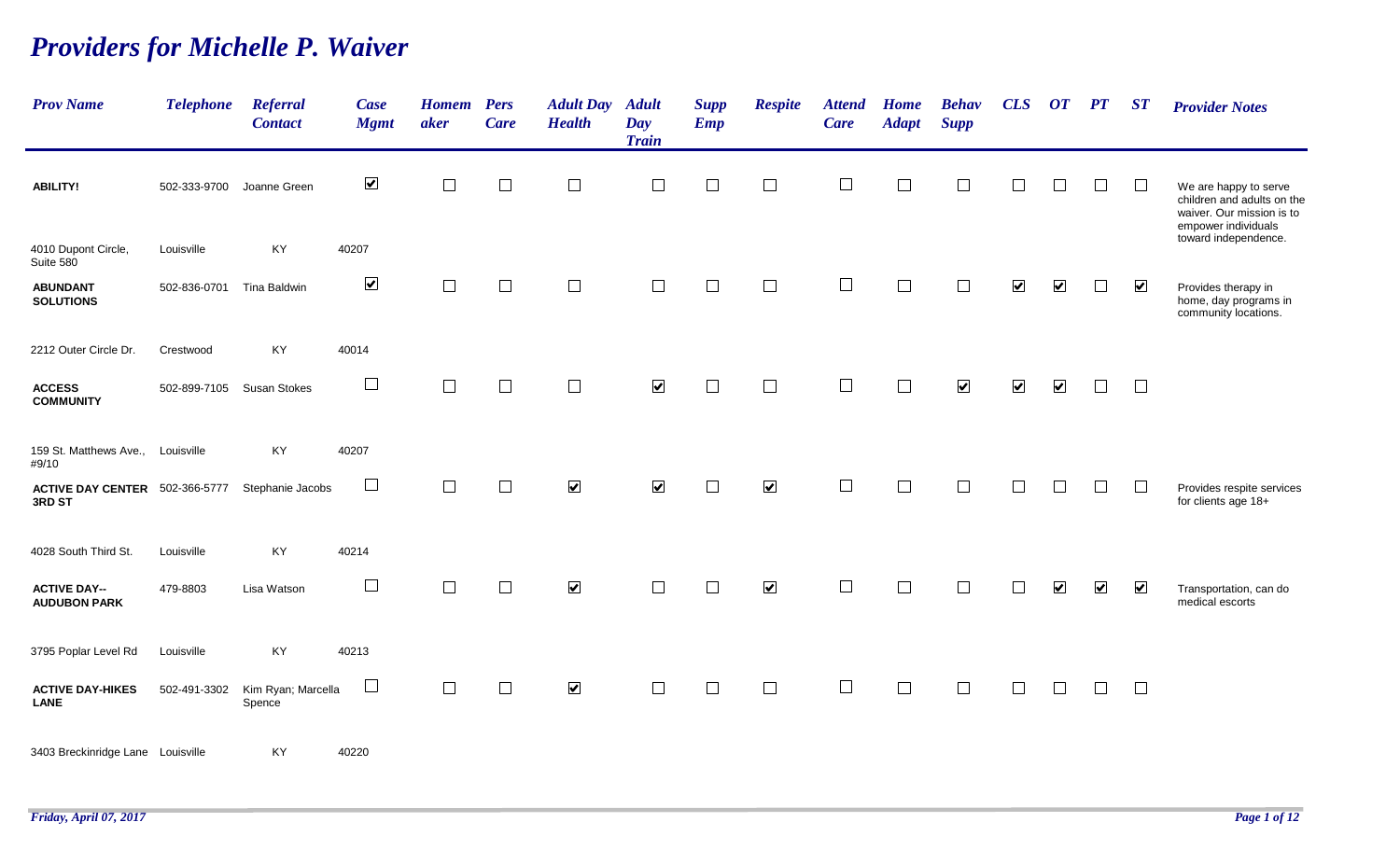## *Providers for Michelle P. Waiver*

| <b>Prov Name</b>                           | <b>Telephone</b> | <b>Referral</b><br><b>Contact</b> | Case<br><b>Mgmt</b>  | <b>Homem</b><br>aker | <b>Pers</b><br><b>Care</b> | <b>Adult Day</b><br><b>Health</b> | <b>Adult</b><br>Day<br><b>Train</b> | <b>Supp</b><br><b>Emp</b> | <b>Respite</b>       | <b>Attend</b><br>Care | <b>Home</b><br><b>Adapt</b> | <b>Behav</b><br><b>Supp</b> | CLS                  | $\boldsymbol{O}\boldsymbol{T}$ | $\bm{PT}$            | $\boldsymbol{S} \boldsymbol{T}$ | <b>Provider Notes</b>                                                                                   |
|--------------------------------------------|------------------|-----------------------------------|----------------------|----------------------|----------------------------|-----------------------------------|-------------------------------------|---------------------------|----------------------|-----------------------|-----------------------------|-----------------------------|----------------------|--------------------------------|----------------------|---------------------------------|---------------------------------------------------------------------------------------------------------|
| <b>ABILITY!</b>                            | 502-333-9700     | Joanne Green                      | $\blacktriangledown$ | $\Box$               | $\Box$                     | $\Box$                            | $\Box$                              | $\Box$                    | $\Box$               | $\Box$                | $\Box$                      | $\Box$                      | $\perp$              | $\Box$                         | $\Box$               | $\Box$                          | We are happy to serve<br>children and adults on the<br>waiver. Our mission is to<br>empower individuals |
| 4010 Dupont Circle,<br>Suite 580           | Louisville       | KY                                | 40207                |                      |                            |                                   |                                     |                           |                      |                       |                             |                             |                      |                                |                      |                                 | toward independence.                                                                                    |
| <b>ABUNDANT</b><br><b>SOLUTIONS</b>        | 502-836-0701     | <b>Tina Baldwin</b>               | $\blacktriangledown$ | П                    | $\Box$                     | $\Box$                            |                                     | $\Box$                    |                      |                       |                             |                             | $\blacktriangledown$ | $\blacktriangledown$           | $\vert \ \ \vert$    | $\blacktriangledown$            | Provides therapy in<br>home, day programs in<br>community locations.                                    |
| 2212 Outer Circle Dr.                      | Crestwood        | KY                                | 40014                |                      |                            |                                   |                                     |                           |                      |                       |                             |                             |                      |                                |                      |                                 |                                                                                                         |
| <b>ACCESS</b><br><b>COMMUNITY</b>          | 502-899-7105     | <b>Susan Stokes</b>               | $\Box$               | $\Box$               | $\Box$                     | $\Box$                            | $\blacktriangledown$                | $\Box$                    | $\Box$               | $\Box$                | $\Box$                      | $\blacktriangledown$        | $\blacktriangledown$ | $\blacktriangledown$           | $\Box$               | $\Box$                          |                                                                                                         |
| 159 St. Matthews Ave.,<br>#9/10            | Louisville       | KY                                | 40207                |                      |                            |                                   |                                     |                           |                      |                       |                             |                             |                      |                                |                      |                                 |                                                                                                         |
| ACTIVE DAY CENTER 502-366-5777<br>3RD ST   |                  | Stephanie Jacobs                  | $\Box$               | $\Box$               | $\Box$                     | $\blacktriangledown$              | $\blacktriangledown$                | $\Box$                    | $\blacktriangledown$ | $\Box$                |                             | $\Box$                      | $\mathcal{L}$        | $\Box$                         | $\Box$               | $\Box$                          | Provides respite services<br>for clients age 18+                                                        |
| 4028 South Third St.                       | Louisville       | KY                                | 40214                |                      |                            |                                   |                                     |                           |                      |                       |                             |                             |                      |                                |                      |                                 |                                                                                                         |
| <b>ACTIVE DAY--</b><br><b>AUDUBON PARK</b> | 479-8803         | Lisa Watson                       | $\Box$               | П                    | $\Box$                     | $\blacktriangledown$              |                                     | $\Box$                    | $\blacktriangledown$ | $\Box$                |                             | $\Box$                      |                      | $\blacktriangledown$           | $\blacktriangledown$ | $\blacktriangledown$            | Transportation, can do<br>medical escorts                                                               |
| 3795 Poplar Level Rd                       | Louisville       | KY                                | 40213                |                      |                            |                                   |                                     |                           |                      |                       |                             |                             |                      |                                |                      |                                 |                                                                                                         |
| <b>ACTIVE DAY-HIKES</b><br><b>LANE</b>     | 502-491-3302     | Kim Ryan; Marcella<br>Spence      | $\Box$               | $\Box$               | $\Box$                     | $\blacktriangledown$              | $\Box$                              | $\Box$                    | $\Box$               | $\Box$                | $\Box$                      | $\Box$                      | $\Box$               | $\Box$                         | $\Box$               | $\Box$                          |                                                                                                         |
| 3403 Breckinridge Lane Louisville          |                  | KY                                | 40220                |                      |                            |                                   |                                     |                           |                      |                       |                             |                             |                      |                                |                      |                                 |                                                                                                         |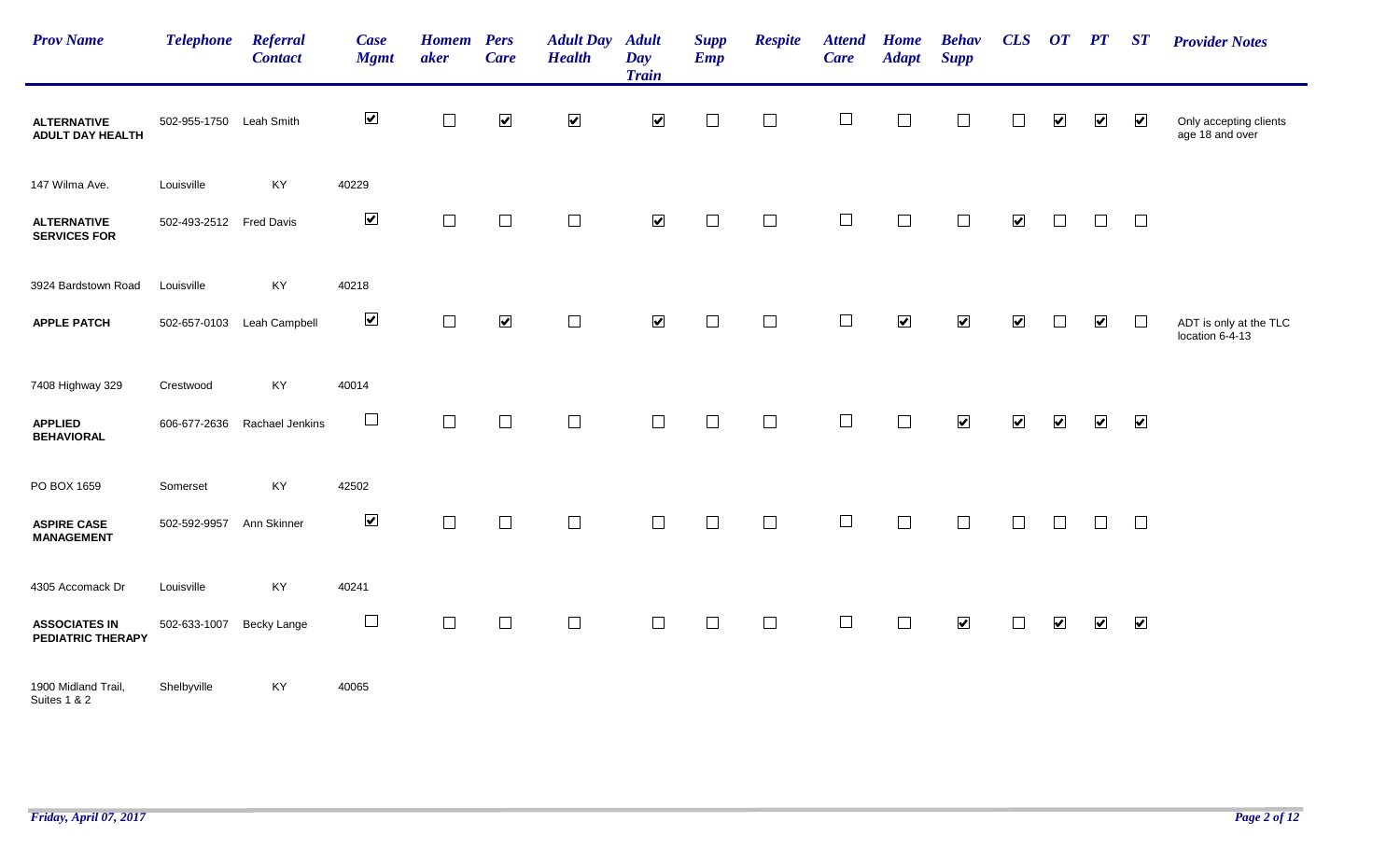| <b>Prov Name</b>                          | <b>Telephone</b>        | Referral<br><b>Contact</b> | Case<br><b>Mgmt</b>      | <b>Homem</b> Pers<br>aker | <b>Care</b>          | <b>Adult Day</b><br><b>Health</b> | <b>Adult</b><br>Day<br><b>Train</b> | <b>Supp</b><br><b>Emp</b> | <b>Respite</b> | <b>Attend</b><br><b>Care</b> | <b>Home</b><br><b>Adapt</b> | <b>Behav</b><br><b>Supp</b> | CLS                  | $\overline{OT}$ $\overline{PT}$ |                         | ST                      | <b>Provider Notes</b>                     |
|-------------------------------------------|-------------------------|----------------------------|--------------------------|---------------------------|----------------------|-----------------------------------|-------------------------------------|---------------------------|----------------|------------------------------|-----------------------------|-----------------------------|----------------------|---------------------------------|-------------------------|-------------------------|-------------------------------------------|
| <b>ALTERNATIVE</b><br>ADULT DAY HEALTH    | 502-955-1750 Leah Smith |                            | $\blacktriangledown$     | $\Box$                    | $\blacktriangledown$ | $\blacktriangledown$              | $\blacktriangledown$                | $\Box$                    | $\Box$         | $\Box$                       | $\mathbb{R}^n$              | $\Box$                      | $\Box$               | $\blacktriangledown$            | $\overline{\mathbf{v}}$ | $\overline{\mathbf{v}}$ | Only accepting clients<br>age 18 and over |
| 147 Wilma Ave.                            | Louisville              | KY                         | 40229                    |                           |                      |                                   |                                     |                           |                |                              |                             |                             |                      |                                 |                         |                         |                                           |
| <b>ALTERNATIVE</b><br><b>SERVICES FOR</b> | 502-493-2512 Fred Davis |                            | $\blacktriangledown$     | $\Box$                    | $\Box$               | $\Box$                            | $\blacktriangledown$                | $\Box$                    | $\Box$         | $\Box$                       | $\Box$                      | $\Box$                      | $\blacktriangledown$ | $\Box$                          | $\Box$                  | $\Box$                  |                                           |
| 3924 Bardstown Road                       | Louisville              | KY                         | 40218                    |                           |                      |                                   |                                     |                           |                |                              |                             |                             |                      |                                 |                         |                         |                                           |
| <b>APPLE PATCH</b>                        |                         | 502-657-0103 Leah Campbell | $\blacktriangledown$     | $\Box$                    | $\blacktriangledown$ | $\Box$                            | $\blacktriangledown$                | $\Box$                    | $\Box$         | $\Box$                       | $\blacktriangledown$        | $\blacktriangledown$        | $\blacktriangledown$ | $\Box$                          | $\blacktriangledown$    | $\Box$                  | ADT is only at the TLC<br>location 6-4-13 |
| 7408 Highway 329                          | Crestwood               | KY                         | 40014                    |                           |                      |                                   |                                     |                           |                |                              |                             |                             |                      |                                 |                         |                         |                                           |
| <b>APPLIED</b><br><b>BEHAVIORAL</b>       | 606-677-2636            | Rachael Jenkins            | $\Box$                   | $\Box$                    | $\Box$               | $\Box$                            | $\Box$                              | $\Box$                    | $\Box$         | $\Box$                       | $\Box$                      | $\blacktriangledown$        | $\blacktriangledown$ | $\blacktriangledown$            | $\blacktriangledown$    | $\overline{\mathbf{v}}$ |                                           |
| PO BOX 1659                               | Somerset                | KY                         | 42502                    |                           |                      |                                   |                                     |                           |                |                              |                             |                             |                      |                                 |                         |                         |                                           |
| <b>ASPIRE CASE</b><br><b>MANAGEMENT</b>   | 502-592-9957            | Ann Skinner                | $\blacktriangledown$     | $\Box$                    | $\Box$               | $\Box$                            | $\Box$                              | $\Box$                    | $\Box$         | $\Box$                       | $\Box$                      | $\Box$                      | $\Box$               | $\Box$                          | $\Box$                  | $\Box$                  |                                           |
| 4305 Accomack Dr                          | Louisville              | KY                         | 40241                    |                           |                      |                                   |                                     |                           |                |                              |                             |                             |                      |                                 |                         |                         |                                           |
| <b>ASSOCIATES IN</b><br>PEDIATRIC THERAPY | 502-633-1007            | <b>Becky Lange</b>         | $\overline{\phantom{a}}$ | $\Box$                    | $\Box$               | $\Box$                            | $\Box$                              | $\Box$                    | $\Box$         | $\Box$                       | $\Box$                      | $\blacktriangledown$        | $\Box$               | $\overline{\mathbf{v}}$         | $\overline{\mathbf{v}}$ | $\overline{\mathbf{v}}$ |                                           |
| 1900 Midland Trail,<br>Suites 1 & 2       | Shelbyville             | KY                         | 40065                    |                           |                      |                                   |                                     |                           |                |                              |                             |                             |                      |                                 |                         |                         |                                           |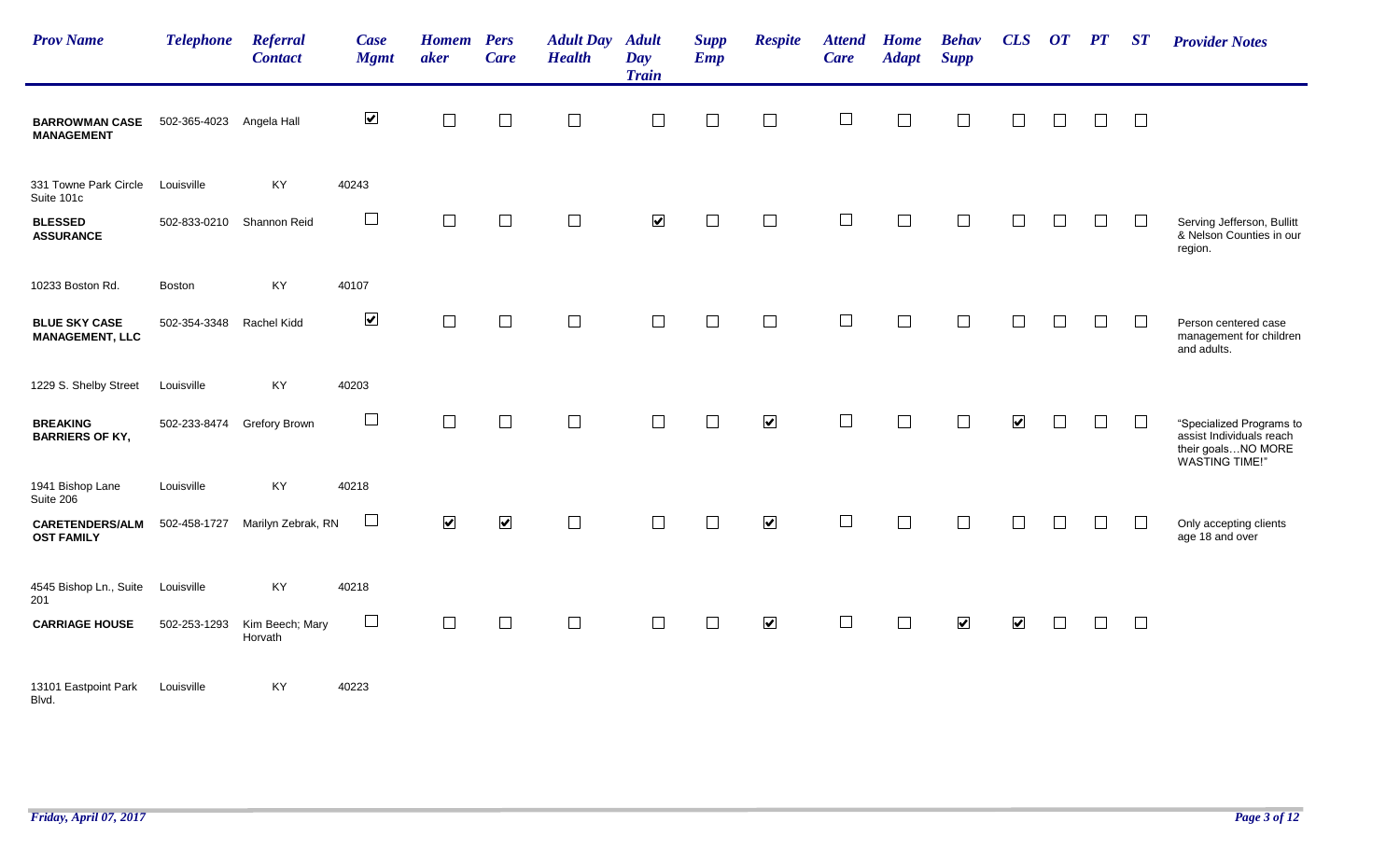| <b>Prov Name</b>                               | <b>Telephone</b> | <b>Referral</b><br><b>Contact</b> | Case<br><b>Mgmt</b>  | <b>Homem</b><br>aker | <b>Pers</b><br><b>Care</b> | <b>Adult Day Adult</b><br><b>Health</b> | Day<br><b>Train</b>  | <b>Supp</b><br><b>Emp</b> | <b>Respite</b>       | <b>Attend</b><br><b>Care</b> | <b>Home</b><br><b>Adapt</b> | <b>Behav</b><br><b>Supp</b> | CLS                     | $\boldsymbol{O}\boldsymbol{T}$ | PT     | ST            | <b>Provider Notes</b>                                                                               |
|------------------------------------------------|------------------|-----------------------------------|----------------------|----------------------|----------------------------|-----------------------------------------|----------------------|---------------------------|----------------------|------------------------------|-----------------------------|-----------------------------|-------------------------|--------------------------------|--------|---------------|-----------------------------------------------------------------------------------------------------|
| <b>BARROWMAN CASE</b><br><b>MANAGEMENT</b>     | 502-365-4023     | Angela Hall                       | $\blacktriangledown$ | $\Box$               | $\Box$                     | $\Box$                                  |                      | $\Box$                    | $\Box$               |                              | $\Box$                      | $\overline{\phantom{a}}$    |                         |                                | $\Box$ | $\Box$        |                                                                                                     |
| 331 Towne Park Circle<br>Suite 101c            | Louisville       | KY                                | 40243                |                      |                            |                                         |                      |                           |                      |                              |                             |                             |                         |                                |        |               |                                                                                                     |
| <b>BLESSED</b><br><b>ASSURANCE</b>             | 502-833-0210     | Shannon Reid                      | $\Box$               | $\Box$               | $\Box$                     | $\Box$                                  | $\blacktriangledown$ | $\Box$                    | $\Box$               |                              | $\Box$                      |                             |                         |                                | $\Box$ |               | Serving Jefferson, Bullitt<br>& Nelson Counties in our<br>region.                                   |
| 10233 Boston Rd.                               | Boston           | KY                                | 40107                |                      |                            |                                         |                      |                           |                      |                              |                             |                             |                         |                                |        |               |                                                                                                     |
| <b>BLUE SKY CASE</b><br><b>MANAGEMENT, LLC</b> | 502-354-3348     | Rachel Kidd                       | $\blacktriangledown$ | $\Box$               | $\Box$                     | $\Box$                                  | $\Box$               | $\Box$                    | $\Box$               | $\Box$                       | $\Box$                      | $\Box$                      |                         |                                | $\Box$ | $\mathcal{L}$ | Person centered case<br>management for children<br>and adults.                                      |
| 1229 S. Shelby Street                          | Louisville       | KY                                | 40203                |                      |                            |                                         |                      |                           |                      |                              |                             |                             |                         |                                |        |               |                                                                                                     |
| <b>BREAKING</b><br><b>BARRIERS OF KY,</b>      | 502-233-8474     | Grefory Brown                     | $\Box$               | $\Box$               | $\Box$                     | $\Box$                                  | $\Box$               | $\Box$                    | $\blacktriangledown$ | $\Box$                       | $\Box$                      | $\mathcal{L}_{\mathcal{A}}$ | $\blacktriangledown$    |                                | $\Box$ |               | "Specialized Programs to<br>assist Individuals reach<br>their goalsNO MORE<br><b>WASTING TIME!"</b> |
| 1941 Bishop Lane<br>Suite 206                  | Louisville       | KY                                | 40218                |                      |                            |                                         |                      |                           |                      |                              |                             |                             |                         |                                |        |               |                                                                                                     |
| <b>CARETENDERS/ALM</b><br><b>OST FAMILY</b>    | 502-458-1727     | Marilyn Zebrak, RN                | $\sqcup$             | $\blacktriangledown$ | $\blacktriangledown$       | $\Box$                                  | $\Box$               | $\Box$                    | $\blacktriangledown$ | $\Box$                       | $\Box$                      |                             | П                       |                                | $\Box$ |               | Only accepting clients<br>age 18 and over                                                           |
| 4545 Bishop Ln., Suite<br>201                  | Louisville       | KY                                | 40218                |                      |                            |                                         |                      |                           |                      |                              |                             |                             |                         |                                |        |               |                                                                                                     |
| <b>CARRIAGE HOUSE</b>                          | 502-253-1293     | Kim Beech; Mary<br>Horvath        | $\sqcup$             | $\Box$               | $\Box$                     | $\Box$                                  |                      | $\Box$                    | $\blacktriangledown$ | $\Box$                       | $\Box$                      | $\overline{\mathbf{v}}$     | $\overline{\mathbf{v}}$ |                                | П      | $\Box$        |                                                                                                     |
| 13101 Eastpoint Park<br>Blvd.                  | Louisville       | KY                                | 40223                |                      |                            |                                         |                      |                           |                      |                              |                             |                             |                         |                                |        |               |                                                                                                     |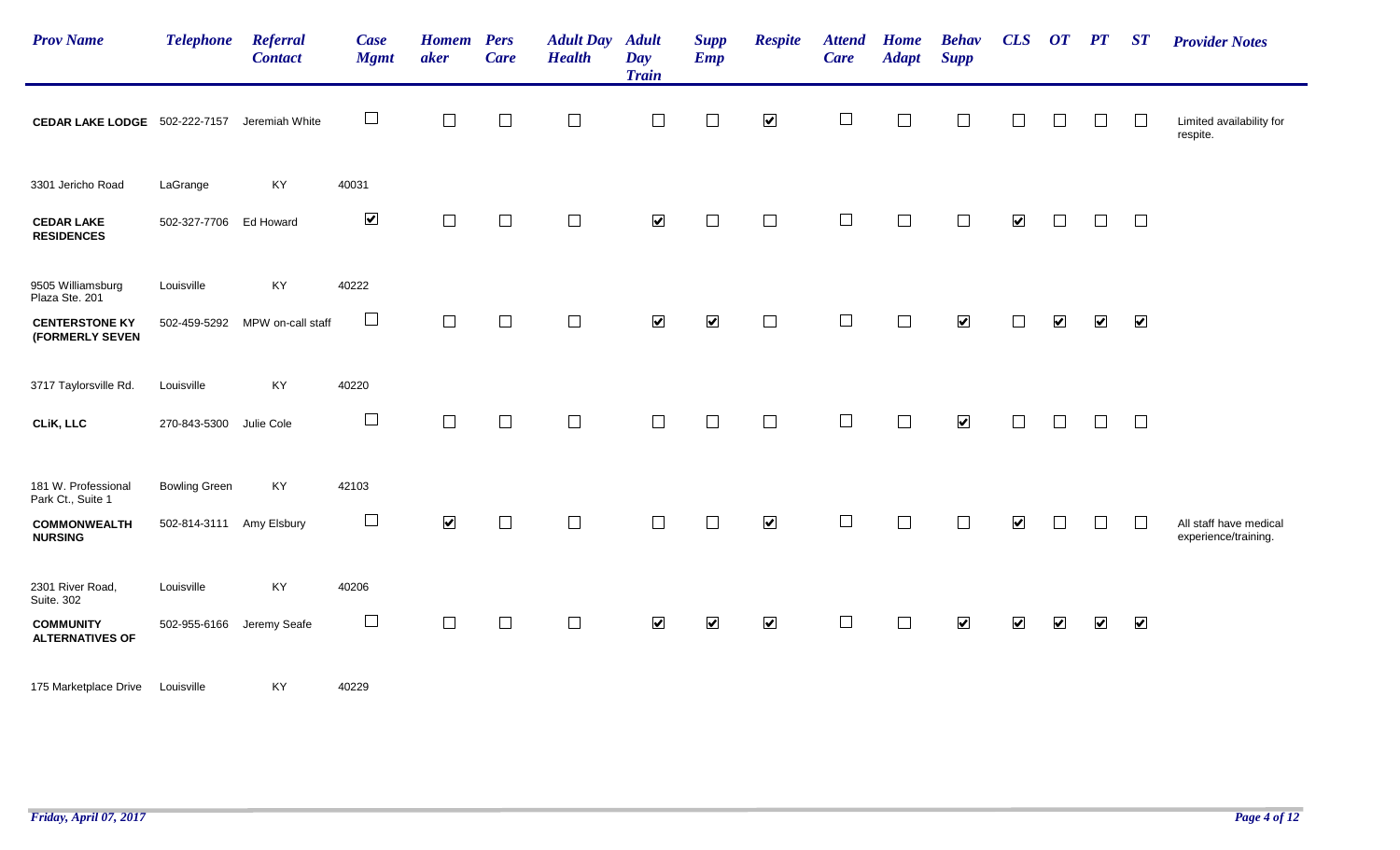| <b>Prov Name</b>                           | <b>Telephone</b>         | Referral<br><b>Contact</b>     | Case<br><b>Mgmt</b>      | <b>Homem</b><br>aker | <b>Pers</b><br><b>Care</b> | <b>Adult Day</b><br><b>Health</b> | <b>Adult</b><br>Day<br><b>Train</b> | <b>Supp</b><br><b>Emp</b> | <b>Respite</b>       | <b>Attend</b><br><b>Care</b> | <b>Home</b><br><b>Adapt</b> | <b>Behav</b><br><b>Supp</b> | CLS                  | OT PT                |                      | $\boldsymbol{S} \boldsymbol{T}$ | <b>Provider Notes</b>                          |
|--------------------------------------------|--------------------------|--------------------------------|--------------------------|----------------------|----------------------------|-----------------------------------|-------------------------------------|---------------------------|----------------------|------------------------------|-----------------------------|-----------------------------|----------------------|----------------------|----------------------|---------------------------------|------------------------------------------------|
| <b>CEDAR LAKE LODGE</b> 502-222-7157       |                          | Jeremiah White                 | $\Box$                   | $\Box$               | $\Box$                     | $\Box$                            | $\Box$                              | $\Box$                    | $\blacktriangledown$ | $\Box$                       |                             | $\Box$                      | $\Box$               | $\Box$               | $\Box$               | $\perp$                         | Limited availability for<br>respite.           |
| 3301 Jericho Road                          | LaGrange                 | KY                             | 40031                    |                      |                            |                                   |                                     |                           |                      |                              |                             |                             |                      |                      |                      |                                 |                                                |
| <b>CEDAR LAKE</b><br><b>RESIDENCES</b>     | 502-327-7706 Ed Howard   |                                | $\blacktriangledown$     | $\Box$               | $\Box$                     | $\Box$                            | $\blacktriangledown$                | $\Box$                    | $\Box$               | $\Box$                       | $\Box$                      | $\Box$                      | $\blacktriangledown$ | $\Box$               | П.                   | $\Box$                          |                                                |
| 9505 Williamsburg<br>Plaza Ste. 201        | Louisville               | KY                             | 40222                    |                      |                            |                                   |                                     |                           |                      |                              |                             |                             |                      |                      |                      |                                 |                                                |
| <b>CENTERSTONE KY</b><br>(FORMERLY SEVEN   |                          | 502-459-5292 MPW on-call staff | $\overline{\phantom{a}}$ | $\Box$               | $\Box$                     | $\Box$                            | $\blacktriangledown$                | $\blacktriangledown$      | $\Box$               | $\Box$                       | $\Box$                      | $\blacktriangledown$        | $\Box$               | $\blacktriangledown$ | $\blacktriangledown$ | $\blacktriangledown$            |                                                |
| 3717 Taylorsville Rd.                      | Louisville               | KY                             | 40220                    |                      |                            |                                   |                                     |                           |                      |                              |                             |                             |                      |                      |                      |                                 |                                                |
| CLIK, LLC                                  | 270-843-5300             | Julie Cole                     | $\Box$                   | $\Box$               | $\Box$                     | $\Box$                            | $\Box$                              | $\Box$                    | $\Box$               | $\Box$                       | $\Box$                      | $\blacktriangledown$        | $\Box$               | $\Box$               | $\Box$               | $\Box$                          |                                                |
| 181 W. Professional<br>Park Ct., Suite 1   | <b>Bowling Green</b>     | KY                             | 42103                    |                      |                            |                                   |                                     |                           |                      |                              |                             |                             |                      |                      |                      |                                 |                                                |
| <b>COMMONWEALTH</b><br><b>NURSING</b>      | 502-814-3111 Amy Elsbury |                                | $\overline{\phantom{a}}$ | $\blacktriangledown$ | $\Box$                     | $\Box$                            | $\Box$                              | $\Box$                    | $\blacktriangledown$ | $\Box$                       |                             | $\Box$                      | $\blacktriangledown$ | $\mathbf{I}$         | $\Box$               | $\Box$                          | All staff have medical<br>experience/training. |
| 2301 River Road,<br>Suite. 302             | Louisville               | KY                             | 40206                    |                      |                            |                                   |                                     |                           |                      |                              |                             |                             |                      |                      |                      |                                 |                                                |
| <b>COMMUNITY</b><br><b>ALTERNATIVES OF</b> | 502-955-6166             | Jeremy Seafe                   | $\Box$                   | $\Box$               | $\Box$                     | $\Box$                            | $\blacktriangledown$                | $\blacktriangledown$      | $\blacktriangledown$ | $\Box$                       | $\Box$                      | $\blacktriangledown$        | $\blacktriangledown$ | $\blacktriangledown$ | $\blacktriangledown$ | $\blacktriangledown$            |                                                |
| 175 Marketplace Drive                      | Louisville               | KY                             | 40229                    |                      |                            |                                   |                                     |                           |                      |                              |                             |                             |                      |                      |                      |                                 |                                                |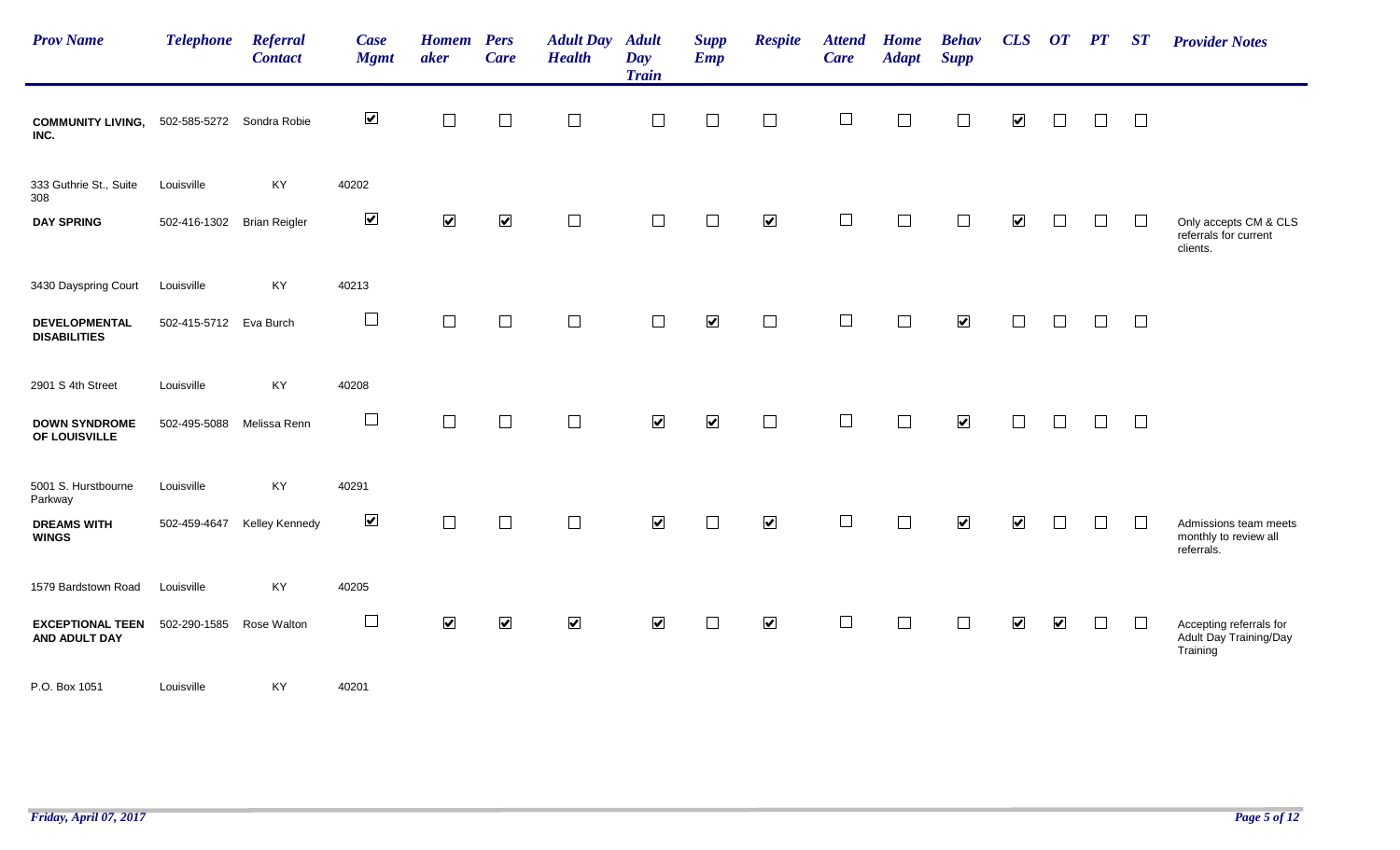| <b>Prov Name</b>                                    | <b>Telephone</b>       | Referral<br><b>Contact</b> | Case<br><b>Mgmt</b>  | <b>Homem</b><br>aker | <b>Pers</b><br><b>Care</b> | <b>Adult Day</b><br><b>Health</b> | <b>Adult</b><br>Day<br><b>Train</b> | <b>Supp</b><br><b>Emp</b> | <b>Respite</b>           | <b>Attend</b><br><b>Care</b> | <b>Home</b><br><b>Adapt</b> | <b>Behav</b><br><b>Supp</b> | CLS                     | OT PT                |        | ST     | <b>Provider Notes</b>                                         |
|-----------------------------------------------------|------------------------|----------------------------|----------------------|----------------------|----------------------------|-----------------------------------|-------------------------------------|---------------------------|--------------------------|------------------------------|-----------------------------|-----------------------------|-------------------------|----------------------|--------|--------|---------------------------------------------------------------|
| COMMUNITY LIVING, 502-585-5272 Sondra Robie<br>INC. |                        |                            | $\blacktriangledown$ | $\Box$               | $\Box$                     | $\Box$                            | $\Box$                              | $\Box$                    | $\overline{\phantom{a}}$ | $\overline{\phantom{a}}$     | $\Box$                      | $\Box$                      | $\blacktriangledown$    | $\Box$               | $\Box$ | $\Box$ |                                                               |
| 333 Guthrie St., Suite<br>308                       | Louisville             | KY                         | 40202                |                      |                            |                                   |                                     |                           |                          |                              |                             |                             |                         |                      |        |        |                                                               |
| <b>DAY SPRING</b>                                   | 502-416-1302           | <b>Brian Reigler</b>       | $\blacktriangledown$ | $\blacktriangledown$ | $\blacktriangledown$       | $\Box$                            |                                     | П                         | $\blacktriangledown$     |                              |                             | Г                           | $\blacktriangledown$    |                      |        | $\Box$ | Only accepts CM & CLS<br>referrals for current<br>clients.    |
| 3430 Dayspring Court                                | Louisville             | KY                         | 40213                |                      |                            |                                   |                                     |                           |                          |                              |                             |                             |                         |                      |        |        |                                                               |
| <b>DEVELOPMENTAL</b><br><b>DISABILITIES</b>         | 502-415-5712 Eva Burch |                            | $\Box$               | $\Box$               | $\Box$                     | $\Box$                            | $\Box$                              | $\blacktriangledown$      | $\Box$                   | $\sim$                       | $\Box$                      | $\blacktriangledown$        | $\mathbb{R}^n$          | $\mathbb{R}^n$       | П      | $\Box$ |                                                               |
| 2901 S 4th Street                                   | Louisville             | KY                         | 40208                |                      |                            |                                   |                                     |                           |                          |                              |                             |                             |                         |                      |        |        |                                                               |
| <b>DOWN SYNDROME</b><br>OF LOUISVILLE               | 502-495-5088           | Melissa Renn               | $\Box$               | $\Box$               | $\Box$                     | $\Box$                            | $\blacktriangledown$                | $\blacktriangledown$      | $\Box$                   | $\Box$                       | $\Box$                      | $\blacktriangledown$        | $\Box$                  | $\Box$               | $\Box$ | $\Box$ |                                                               |
| 5001 S. Hurstbourne<br>Parkway                      | Louisville             | KY                         | 40291                |                      |                            |                                   |                                     |                           |                          |                              |                             |                             |                         |                      |        |        |                                                               |
| <b>DREAMS WITH</b><br><b>WINGS</b>                  | 502-459-4647           | Kelley Kennedy             | $\blacktriangledown$ | $\Box$               | $\Box$                     | $\Box$                            | $\blacktriangledown$                | $\Box$                    | $\blacktriangledown$     | $\perp$                      |                             | $\overline{\mathbf{v}}$     | $\overline{\mathbf{v}}$ |                      | $\Box$ | $\Box$ | Admissions team meets<br>monthly to review all<br>referrals.  |
| 1579 Bardstown Road                                 | Louisville             | KY                         | 40205                |                      |                            |                                   |                                     |                           |                          |                              |                             |                             |                         |                      |        |        |                                                               |
| <b>EXCEPTIONAL TEEN</b><br>AND ADULT DAY            | 502-290-1585           | Rose Walton                | $\Box$               | $\blacktriangledown$ | $\blacktriangledown$       | $\blacktriangledown$              | $\blacktriangledown$                | $\perp$                   | $\blacktriangledown$     |                              | $\Box$                      | $\Box$                      | $\blacktriangledown$    | $\blacktriangledown$ | $\Box$ | $\Box$ | Accepting referrals for<br>Adult Day Training/Day<br>Training |
| P.O. Box 1051                                       | Louisville             | KY                         | 40201                |                      |                            |                                   |                                     |                           |                          |                              |                             |                             |                         |                      |        |        |                                                               |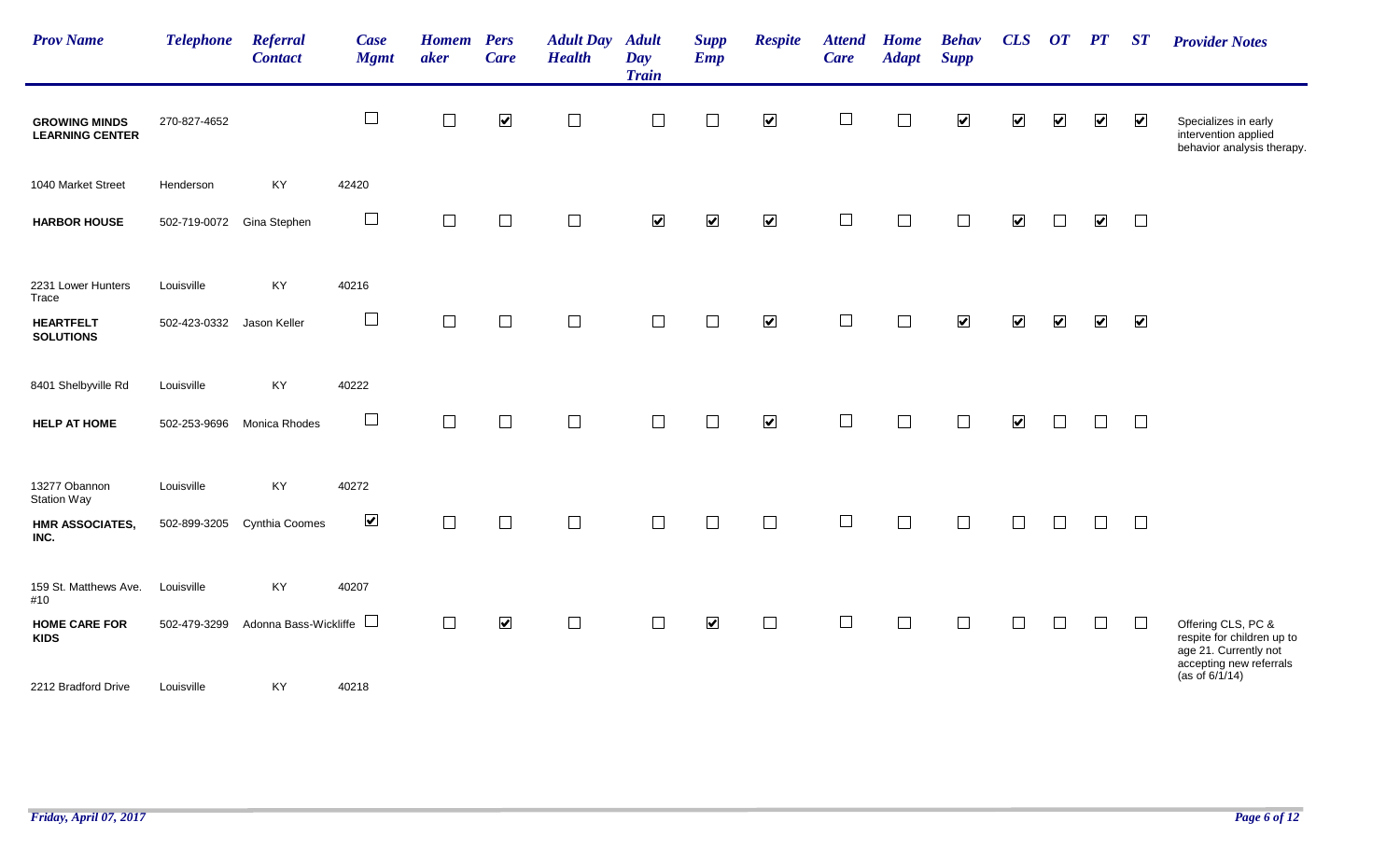| <b>Prov Name</b>                               | <b>Telephone</b> | <b>Referral</b><br><b>Contact</b> | Case<br><b>Mgmt</b>  | <b>Homem</b><br>aker | <b>Pers</b><br><b>Care</b> | <b>Adult Day</b><br><b>Health</b> | <b>Adult</b><br>Day<br><b>Train</b> | <b>Supp</b><br>Emp   | <b>Respite</b>       | <b>Attend</b><br><b>Care</b> | Home<br><b>Adapt</b> | <b>Behav</b><br><b>Supp</b> | CLS                     | $\boldsymbol{O}\boldsymbol{T}$ | $\boldsymbol{PT}$    | ST                   | <b>Provider Notes</b>                                                                                |
|------------------------------------------------|------------------|-----------------------------------|----------------------|----------------------|----------------------------|-----------------------------------|-------------------------------------|----------------------|----------------------|------------------------------|----------------------|-----------------------------|-------------------------|--------------------------------|----------------------|----------------------|------------------------------------------------------------------------------------------------------|
| <b>GROWING MINDS</b><br><b>LEARNING CENTER</b> | 270-827-4652     |                                   | $\Box$               | $\Box$               | $\blacktriangledown$       | $\Box$                            | $\Box$                              | $\Box$               | $\blacktriangledown$ | $\overline{\phantom{a}}$     | $\Box$               | $\blacktriangledown$        | $\blacktriangledown$    | $\blacktriangledown$           | $\blacktriangledown$ | $\blacktriangledown$ | Specializes in early<br>intervention applied<br>behavior analysis therapy.                           |
| 1040 Market Street                             | Henderson        | KY                                | 42420                |                      |                            |                                   |                                     |                      |                      |                              |                      |                             |                         |                                |                      |                      |                                                                                                      |
| <b>HARBOR HOUSE</b>                            | 502-719-0072     | Gina Stephen                      | $\Box$               | $\Box$               | $\Box$                     | $\Box$                            | $\blacktriangledown$                | $\blacktriangledown$ | $\blacktriangledown$ | $\overline{\phantom{a}}$     | $\Box$               | $\Box$                      | $\blacktriangledown$    |                                | $\blacktriangledown$ | $\Box$               |                                                                                                      |
| 2231 Lower Hunters<br>Trace                    | Louisville       | KY                                | 40216                |                      |                            |                                   |                                     |                      |                      |                              |                      |                             |                         |                                |                      |                      |                                                                                                      |
| <b>HEARTFELT</b><br><b>SOLUTIONS</b>           | 502-423-0332     | Jason Keller                      | $\Box$               | $\Box$               | $\Box$                     | $\Box$                            | $\Box$                              | $\Box$               | $\blacktriangledown$ | $\Box$                       | $\Box$               | $\blacktriangledown$        | $\blacktriangledown$    | $\blacktriangledown$           | $\blacktriangledown$ | $\blacktriangledown$ |                                                                                                      |
| 8401 Shelbyville Rd                            | Louisville       | KY                                | 40222                |                      |                            |                                   |                                     |                      |                      |                              |                      |                             |                         |                                |                      |                      |                                                                                                      |
| <b>HELP AT HOME</b>                            | 502-253-9696     | Monica Rhodes                     | $\Box$               | $\Box$               | $\Box$                     | $\Box$                            | $\Box$                              | $\Box$               | $\blacktriangledown$ | $\Box$                       | $\Box$               | $\Box$                      | $\overline{\mathbf{v}}$ | $\Box$                         |                      | $\Box$               |                                                                                                      |
| 13277 Obannon<br><b>Station Way</b>            | Louisville       | KY                                | 40272                |                      |                            |                                   |                                     |                      |                      |                              |                      |                             |                         |                                |                      |                      |                                                                                                      |
| <b>HMR ASSOCIATES,</b><br>INC.                 | 502-899-3205     | Cynthia Coomes                    | $\blacktriangledown$ | $\Box$               | $\Box$                     | $\Box$                            | $\Box$                              | $\Box$               | $\Box$               | $\Box$                       | $\Box$               | $\Box$                      | $\Box$                  | $\mathbf{1}$                   | $\perp$              | $\Box$               |                                                                                                      |
| 159 St. Matthews Ave.<br>#10                   | Louisville       | KY                                | 40207                |                      |                            |                                   |                                     |                      |                      |                              |                      |                             |                         |                                |                      |                      |                                                                                                      |
| <b>HOME CARE FOR</b><br><b>KIDS</b>            | 502-479-3299     | Adonna Bass-Wickliffe             |                      | $\Box$               | $\blacktriangledown$       | $\Box$                            | $\Box$                              | $\blacktriangledown$ | $\Box$               | $\Box$                       | $\Box$               | $\Box$                      | $\Box$                  | $\Box$                         |                      | $\Box$               | Offering CLS, PC &<br>respite for children up to<br>age 21. Currently not<br>accepting new referrals |
| 2212 Bradford Drive                            | Louisville       | KY                                | 40218                |                      |                            |                                   |                                     |                      |                      |                              |                      |                             |                         |                                |                      |                      | (as of $6/1/14$ )                                                                                    |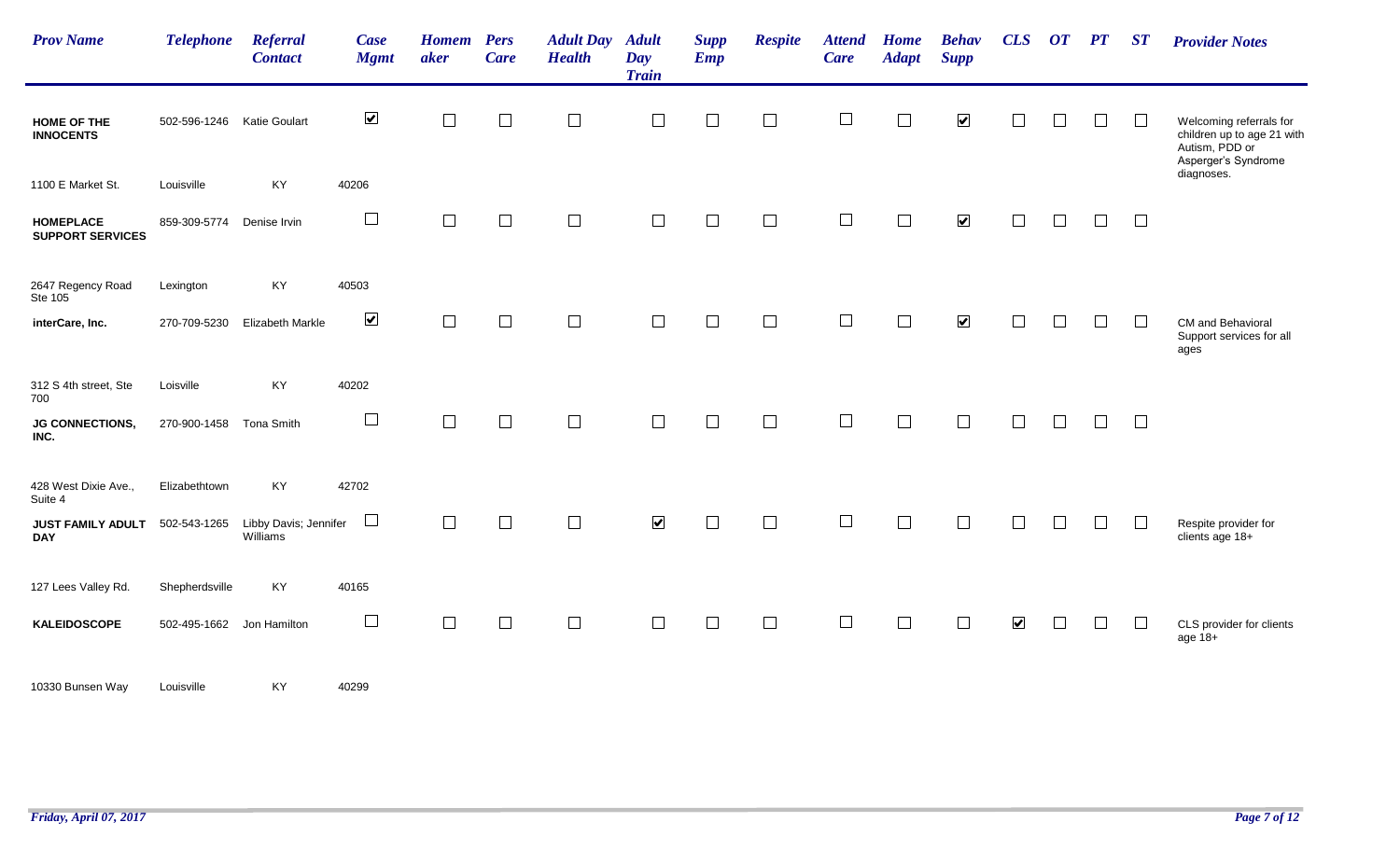| <b>Prov Name</b>                            | <b>Telephone</b>           | <b>Referral</b><br><b>Contact</b> | Case<br><b>Mgmt</b>  | <b>Homem</b> Pers<br>aker | <b>Care</b> | <b>Adult Day</b><br><b>Health</b> | <b>Adult</b><br>Day<br><b>Train</b> | <b>Supp</b><br><b>Emp</b> | <b>Respite</b>           | <b>Attend</b><br>Care    | <b>Home</b><br><b>Adapt</b> | <b>Behav</b><br><b>Supp</b> | CLS                  | $\overline{or}$ | PT | ST           | <b>Provider Notes</b>                                                                          |
|---------------------------------------------|----------------------------|-----------------------------------|----------------------|---------------------------|-------------|-----------------------------------|-------------------------------------|---------------------------|--------------------------|--------------------------|-----------------------------|-----------------------------|----------------------|-----------------|----|--------------|------------------------------------------------------------------------------------------------|
| <b>HOME OF THE</b><br><b>INNOCENTS</b>      | 502-596-1246 Katie Goulart |                                   | $\blacktriangledown$ | $\Box$                    | $\perp$     | $\Box$                            | $\Box$                              | $\Box$                    | $\overline{\phantom{a}}$ | $\overline{\phantom{a}}$ |                             | $\blacktriangledown$        | $\Box$               | $\Box$          |    |              | Welcoming referrals for<br>children up to age 21 with<br>Autism, PDD or<br>Asperger's Syndrome |
| 1100 E Market St.                           | Louisville                 | KY                                | 40206                |                           |             |                                   |                                     |                           |                          |                          |                             |                             |                      |                 |    |              | diagnoses.                                                                                     |
| <b>HOMEPLACE</b><br><b>SUPPORT SERVICES</b> | 859-309-5774 Denise Irvin  |                                   | $\Box$               | $\Box$                    | $\Box$      | $\Box$                            | $\Box$                              | $\Box$                    | $\Box$                   | $\Box$                   | П                           | $\blacktriangledown$        | $\Box$               | $\Box$          |    | $\Box$       |                                                                                                |
| 2647 Regency Road<br>Ste 105                | Lexington                  | KY                                | 40503                |                           |             |                                   |                                     |                           |                          |                          |                             |                             |                      |                 |    |              |                                                                                                |
| interCare, Inc.                             | 270-709-5230               | Elizabeth Markle                  | $\blacktriangledown$ | $\Box$                    | $\Box$      | $\Box$                            | $\Box$                              | $\Box$                    | $\Box$                   | $\Box$                   | $\Box$                      | $\blacktriangledown$        | $\Box$               | $\Box$          |    | $\perp$      | CM and Behavioral<br>Support services for all<br>ages                                          |
| 312 S 4th street, Ste<br>700                | Loisville                  | KY                                | 40202                |                           |             |                                   |                                     |                           |                          |                          |                             |                             |                      |                 |    |              |                                                                                                |
| <b>JG CONNECTIONS,</b><br>INC.              | 270-900-1458               | Tona Smith                        | $\Box$               | $\Box$                    | $\Box$      | $\Box$                            | $\Box$                              | $\Box$                    | $\Box$                   | $\Box$                   |                             |                             | $\Box$               |                 |    | $\Box$       |                                                                                                |
| 428 West Dixie Ave.,<br>Suite 4             | Elizabethtown              | KY                                | 42702                |                           |             |                                   |                                     |                           |                          |                          |                             |                             |                      |                 |    |              |                                                                                                |
| JUST FAMILY ADULT<br><b>DAY</b>             | 502-543-1265               | Libby Davis; Jennifer<br>Williams | $\Box$               | $\overline{\phantom{a}}$  | $\Box$      | $\Box$                            | $\blacktriangledown$                | $\Box$                    | $\Box$                   | $\Box$                   |                             | $\Box$                      | $\Box$               | Γ               |    | $\Box$       | Respite provider for<br>clients age 18+                                                        |
| 127 Lees Valley Rd.                         | Shepherdsville             | KY                                | 40165                |                           |             |                                   |                                     |                           |                          |                          |                             |                             |                      |                 |    |              |                                                                                                |
| <b>KALEIDOSCOPE</b>                         | 502-495-1662               | Jon Hamilton                      | $\Box$               | $\Box$                    | $\Box$      | $\Box$                            | $\Box$                              | $\Box$                    | $\Box$                   | $\Box$                   |                             | $\Box$                      | $\blacktriangledown$ | $\Box$          |    | $\mathbf{L}$ | CLS provider for clients<br>age 18+                                                            |
| 10330 Bunsen Way                            | Louisville                 | KY                                | 40299                |                           |             |                                   |                                     |                           |                          |                          |                             |                             |                      |                 |    |              |                                                                                                |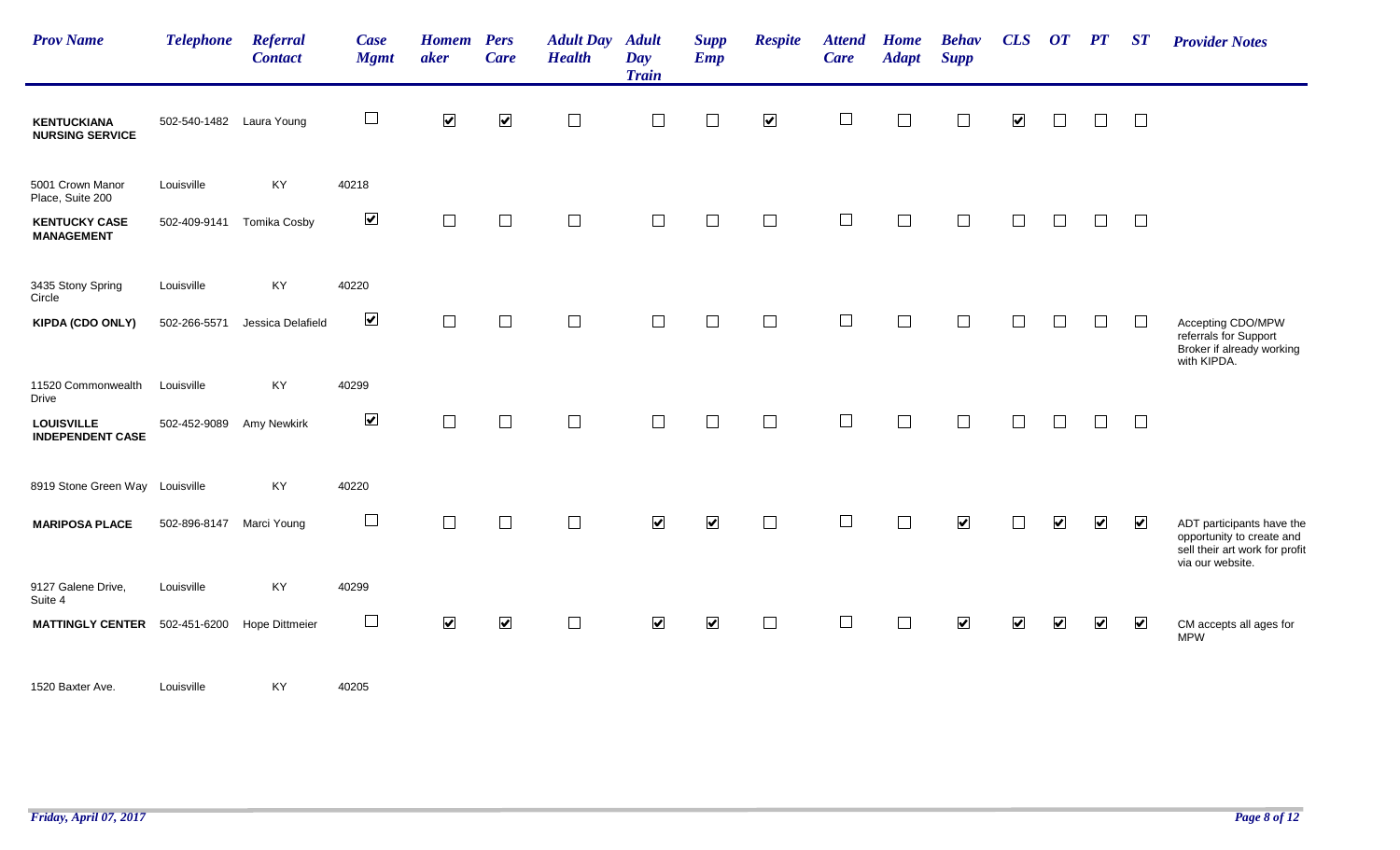| <b>Prov Name</b>                             | <b>Telephone</b>         | <b>Referral</b><br><b>Contact</b> | Case<br><b>Mgmt</b>  | <b>Homem</b> Pers<br>aker   | <b>Care</b>          | <b>Adult Day</b><br><b>Health</b> | <b>Adult</b><br>Day<br><b>Train</b> | <b>Supp</b><br><b>Emp</b> | <b>Respite</b>       | <b>Attend</b><br>Care | <b>Home</b><br><b>Adapt</b> | <b>Behav</b><br><b>Supp</b> | CLS                     | $\overline{or}$         | $\bm{PT}$               | ST                      | <b>Provider Notes</b>                                                                    |
|----------------------------------------------|--------------------------|-----------------------------------|----------------------|-----------------------------|----------------------|-----------------------------------|-------------------------------------|---------------------------|----------------------|-----------------------|-----------------------------|-----------------------------|-------------------------|-------------------------|-------------------------|-------------------------|------------------------------------------------------------------------------------------|
| <b>KENTUCKIANA</b><br><b>NURSING SERVICE</b> | 502-540-1482 Laura Young |                                   | $\Box$               | $\blacktriangledown$        | $\blacktriangledown$ | $\Box$                            | $\Box$                              | $\Box$                    | $\blacktriangledown$ | $\Box$                |                             | $\Box$                      | $\blacktriangledown$    |                         | $\Box$                  | $\Box$                  |                                                                                          |
| 5001 Crown Manor<br>Place, Suite 200         | Louisville               | KY                                | 40218                |                             |                      |                                   |                                     |                           |                      |                       |                             |                             |                         |                         |                         |                         |                                                                                          |
| <b>KENTUCKY CASE</b><br><b>MANAGEMENT</b>    | 502-409-9141             | <b>Tomika Cosby</b>               | $\blacktriangledown$ | $\Box$                      | $\Box$               | $\Box$                            | $\Box$                              | $\Box$                    | $\Box$               | $\Box$                | $\Box$                      | $\Box$                      | $\Box$                  |                         | П                       | $\Box$                  |                                                                                          |
| 3435 Stony Spring<br>Circle                  | Louisville               | KY                                | 40220                |                             |                      |                                   |                                     |                           |                      |                       |                             |                             |                         |                         |                         |                         |                                                                                          |
| <b>KIPDA (CDO ONLY)</b>                      | 502-266-5571             | Jessica Delafield                 | $\blacktriangledown$ | $\mathcal{L}_{\mathcal{A}}$ | $\Box$               | $\Box$                            | $\overline{\phantom{a}}$            | $\Box$                    | $\Box$               | $\Box$                | $\mathbb{R}^n$              | $\Box$                      |                         |                         | $\Box$                  | $\perp$                 | Accepting CDO/MPW<br>referrals for Support<br>Broker if already working                  |
| 11520 Commonwealth<br>Drive                  | Louisville               | KY                                | 40299                |                             |                      |                                   |                                     |                           |                      |                       |                             |                             |                         |                         |                         |                         | with KIPDA.                                                                              |
| <b>LOUISVILLE</b><br><b>INDEPENDENT CASE</b> | 502-452-9089             | Amy Newkirk                       | $\blacktriangledown$ | $\Box$                      | $\Box$               | $\Box$                            | $\overline{\phantom{a}}$            | $\Box$                    | $\Box$               | $\Box$                | $\Box$                      | $\Box$                      | $\Box$                  |                         | $\Box$                  | $\Box$                  |                                                                                          |
| 8919 Stone Green Way Louisville              |                          | KY                                | 40220                |                             |                      |                                   |                                     |                           |                      |                       |                             |                             |                         |                         |                         |                         |                                                                                          |
| <b>MARIPOSA PLACE</b>                        | 502-896-8147             | Marci Young                       | $\Box$               | $\Box$                      |                      |                                   | $\blacktriangledown$                | $\blacktriangledown$      | $\Box$               | $\Box$                |                             | $\blacktriangledown$        |                         | $\overline{\mathbf{v}}$ | $\blacktriangledown$    | $\blacktriangledown$    | ADT participants have the<br>opportunity to create and<br>sell their art work for profit |
| 9127 Galene Drive,<br>Suite 4                | Louisville               | KY                                | 40299                |                             |                      |                                   |                                     |                           |                      |                       |                             |                             |                         |                         |                         |                         | via our website.                                                                         |
| <b>MATTINGLY CENTER</b>                      | 502-451-6200             | <b>Hope Dittmeier</b>             | $\Box$               | $\overline{\mathbf{v}}$     | $\blacktriangledown$ | $\Box$                            | $\blacktriangledown$                | $\blacktriangledown$      | $\Box$               | $\Box$                | $\Box$                      | $\blacktriangledown$        | $\overline{\mathbf{v}}$ | $\blacktriangledown$    | $\overline{\mathbf{v}}$ | $\overline{\mathbf{v}}$ | CM accepts all ages for<br><b>MPW</b>                                                    |
| 1520 Baxter Ave.                             | Louisville               | KY                                | 40205                |                             |                      |                                   |                                     |                           |                      |                       |                             |                             |                         |                         |                         |                         |                                                                                          |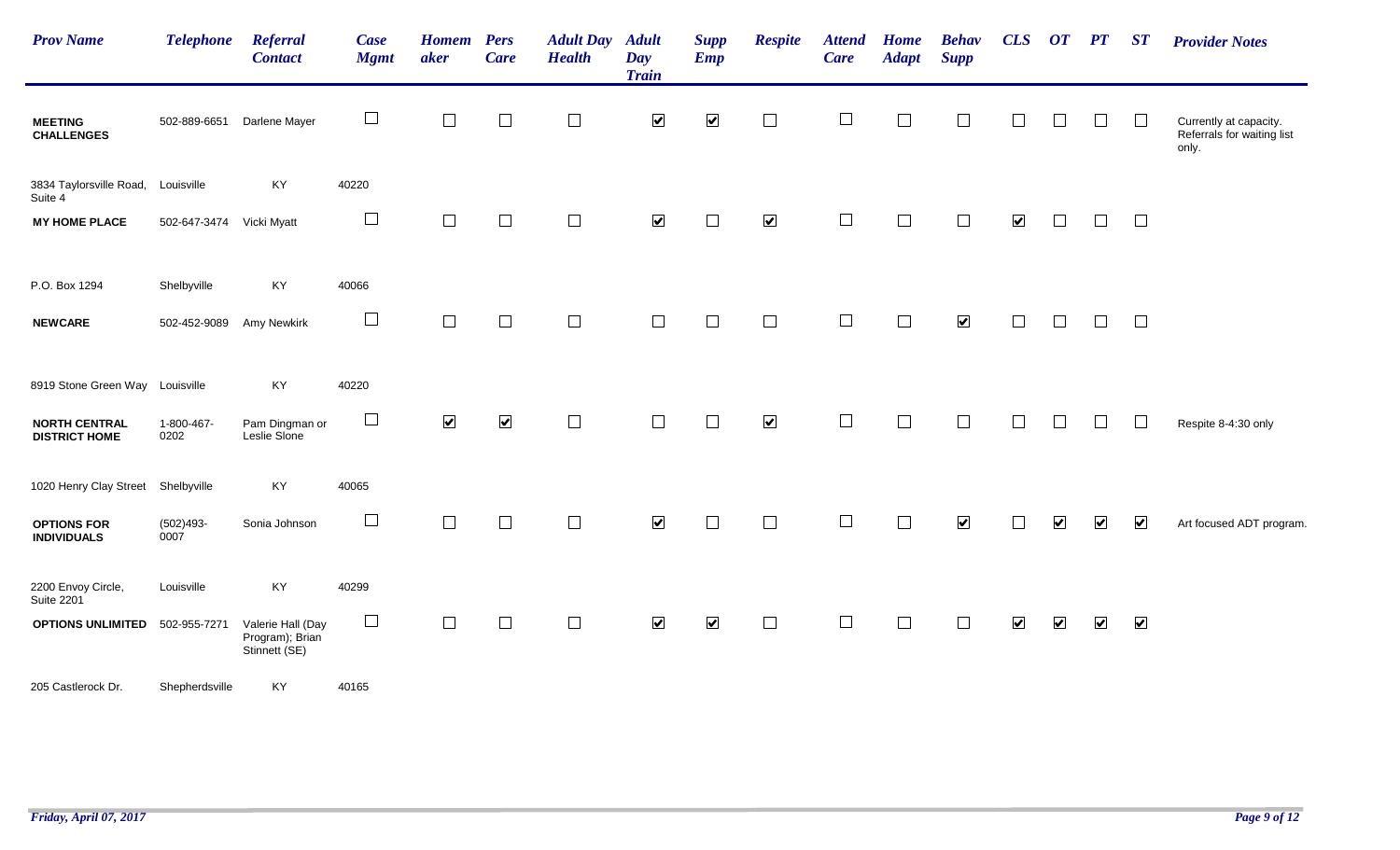| <b>Prov Name</b>                             | <b>Telephone</b>         | Referral<br><b>Contact</b>                            | <b>Case</b><br><b>Mgmt</b> | <b>Homem</b><br>aker     | <b>Pers</b><br><b>Care</b> | <b>Adult Day</b><br><b>Health</b> | <b>Adult</b><br>Day<br><b>Train</b> | <b>Supp</b><br><b>Emp</b> | <b>Respite</b>       | <b>Attend</b><br><b>Care</b> | <b>Home</b><br><b>Adapt</b> | <b>Behav</b><br><b>Supp</b> | CLS                  | $\overline{OT}$ $\overline{PT}$ |                       | ST                      | <b>Provider Notes</b>                                         |
|----------------------------------------------|--------------------------|-------------------------------------------------------|----------------------------|--------------------------|----------------------------|-----------------------------------|-------------------------------------|---------------------------|----------------------|------------------------------|-----------------------------|-----------------------------|----------------------|---------------------------------|-----------------------|-------------------------|---------------------------------------------------------------|
| <b>MEETING</b><br><b>CHALLENGES</b>          | 502-889-6651             | Darlene Mayer                                         | $\Box$                     | $\overline{\phantom{a}}$ | $\Box$                     | $\Box$                            | $\blacktriangledown$                | $\blacktriangledown$      | $\Box$               | $\Box$                       | $\Box$                      | $\Box$                      | $\Box$               | $\Box$                          | $\Box$                | $\Box$                  | Currently at capacity.<br>Referrals for waiting list<br>only. |
| 3834 Taylorsville Road,<br>Suite 4           | Louisville               | KY                                                    | 40220                      |                          |                            |                                   |                                     |                           |                      |                              |                             |                             |                      |                                 |                       |                         |                                                               |
| <b>MY HOME PLACE</b>                         | 502-647-3474 Vicki Myatt |                                                       | $\Box$                     | $\Box$                   | $\Box$                     | $\Box$                            | $\blacktriangledown$                | $\Box$                    | $\blacktriangledown$ | $\Box$                       | $\Box$                      | $\Box$                      | $\blacktriangledown$ | $\Box$                          | П                     | $\Box$                  |                                                               |
| P.O. Box 1294                                | Shelbyville              | KY                                                    | 40066                      |                          |                            |                                   |                                     |                           |                      |                              |                             |                             |                      |                                 |                       |                         |                                                               |
| <b>NEWCARE</b>                               | 502-452-9089             | Amy Newkirk                                           | $\Box$                     | $\Box$                   | $\Box$                     | $\Box$                            | $\Box$                              | $\Box$                    | $\Box$               | $\Box$                       | $\Box$                      | $\blacktriangledown$        | $\Box$               | $\Box$                          | $\Box$                | $\Box$                  |                                                               |
| 8919 Stone Green Way Louisville              |                          | KY                                                    | 40220                      |                          |                            |                                   |                                     |                           |                      |                              |                             |                             |                      |                                 |                       |                         |                                                               |
| <b>NORTH CENTRAL</b><br><b>DISTRICT HOME</b> | 1-800-467-<br>0202       | Pam Dingman or<br>Leslie Slone                        | $\Box$                     | $\blacktriangledown$     | $\blacktriangledown$       | $\Box$                            | $\Box$                              | $\Box$                    | $\blacktriangledown$ | $\Box$                       | $\Box$                      | $\Box$                      |                      |                                 | ⊔                     | $\Box$                  | Respite 8-4:30 only                                           |
| 1020 Henry Clay Street                       | Shelbyville              | KY                                                    | 40065                      |                          |                            |                                   |                                     |                           |                      |                              |                             |                             |                      |                                 |                       |                         |                                                               |
| <b>OPTIONS FOR</b><br><b>INDIVIDUALS</b>     | $(502)493 -$<br>0007     | Sonia Johnson                                         | $\Box$                     | $\Box$                   | $\Box$                     | $\Box$                            | $\blacktriangledown$                | $\Box$                    | $\Box$               | $\Box$                       | $\Box$                      | $\blacktriangledown$        |                      | $\overline{\mathbf{v}}$         | $\blacktriangleright$ | $\blacktriangledown$    | Art focused ADT program.                                      |
| 2200 Envoy Circle,<br><b>Suite 2201</b>      | Louisville               | KY                                                    | 40299                      |                          |                            |                                   |                                     |                           |                      |                              |                             |                             |                      |                                 |                       |                         |                                                               |
| <b>OPTIONS UNLIMITED</b>                     | 502-955-7271             | Valerie Hall (Day<br>Program); Brian<br>Stinnett (SE) | $\Box$                     | $\Box$                   | $\Box$                     | $\Box$                            | $\blacktriangledown$                | $\blacktriangledown$      | $\Box$               | $\Box$                       | $\Box$                      | $\Box$                      | $\blacktriangledown$ | $\overline{\mathbf{v}}$         | $\blacktriangledown$  | $\overline{\mathbf{v}}$ |                                                               |
| 205 Castlerock Dr.                           | Shepherdsville           | KY                                                    | 40165                      |                          |                            |                                   |                                     |                           |                      |                              |                             |                             |                      |                                 |                       |                         |                                                               |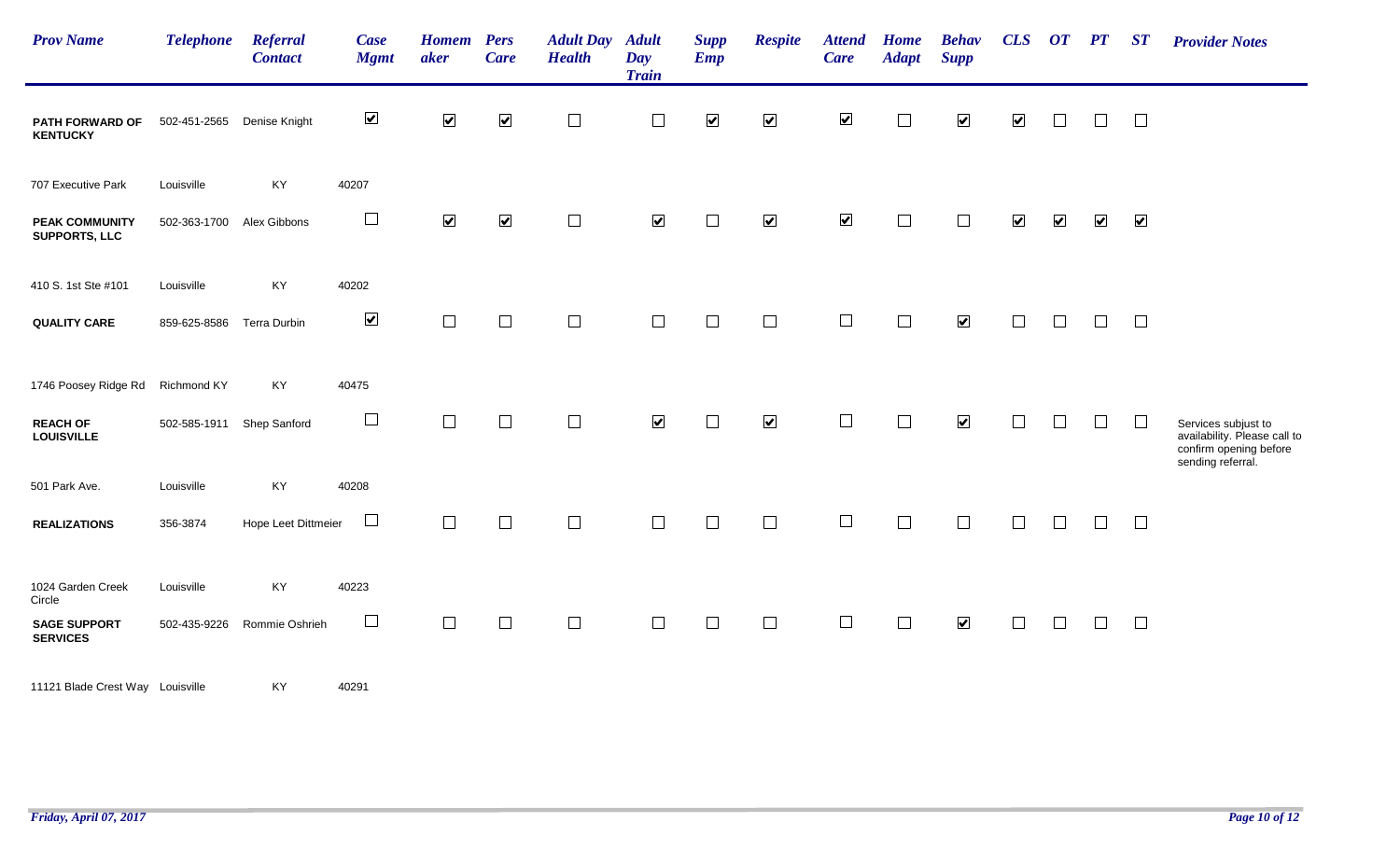| <b>Prov Name</b>                              | <b>Telephone</b>          | <b>Referral</b><br><b>Contact</b> | Case<br><b>Mgmt</b>  | <b>Homem</b> Pers<br>aker | <b>Care</b>          | <b>Adult Day</b><br><b>Health</b> | <b>Adult</b><br>Day<br><b>Train</b> | <b>Supp</b><br><b>Emp</b> | <b>Respite</b>       | <b>Attend</b><br><b>Care</b> | <b>Home</b><br><b>Adapt</b> | <b>Behav</b><br><b>Supp</b> | CLS                  | $\overline{or}$         | PT                   | $\boldsymbol{S} \boldsymbol{T}$ | <b>Provider Notes</b>                                                                              |
|-----------------------------------------------|---------------------------|-----------------------------------|----------------------|---------------------------|----------------------|-----------------------------------|-------------------------------------|---------------------------|----------------------|------------------------------|-----------------------------|-----------------------------|----------------------|-------------------------|----------------------|---------------------------------|----------------------------------------------------------------------------------------------------|
| PATH FORWARD OF<br><b>KENTUCKY</b>            | 502-451-2565              | Denise Knight                     | $\blacktriangledown$ | $\blacktriangledown$      | $\blacktriangledown$ | $\Box$                            | $\Box$                              | $\blacktriangledown$      | $\blacktriangledown$ | $\blacktriangledown$         | $\overline{\phantom{a}}$    | $\blacktriangledown$        | $\blacktriangledown$ |                         | $\Box$               | $\Box$                          |                                                                                                    |
| 707 Executive Park                            | Louisville                | KY                                | 40207                |                           |                      |                                   |                                     |                           |                      |                              |                             |                             |                      |                         |                      |                                 |                                                                                                    |
| <b>PEAK COMMUNITY</b><br><b>SUPPORTS, LLC</b> | 502-363-1700 Alex Gibbons |                                   | $\Box$               | $\blacktriangledown$      | $\blacktriangledown$ | $\Box$                            | $\blacktriangledown$                | $\overline{\phantom{a}}$  | $\blacktriangledown$ | $\blacktriangledown$         | $\Box$                      | $\Box$                      | $\blacktriangledown$ | $\overline{\mathbf{v}}$ | $\blacktriangledown$ | $\blacktriangledown$            |                                                                                                    |
| 410 S. 1st Ste #101                           | Louisville                | KY                                | 40202                |                           |                      |                                   |                                     |                           |                      |                              |                             |                             |                      |                         |                      |                                 |                                                                                                    |
| <b>QUALITY CARE</b>                           | 859-625-8586              | Terra Durbin                      | $\blacktriangledown$ | $\Box$                    | $\Box$               | $\Box$                            | $\Box$                              | $\overline{\phantom{a}}$  | $\Box$               | $\Box$                       | $\Box$                      | $\blacktriangledown$        | $\Box$               | $\Box$                  | $\Box$               | $\Box$                          |                                                                                                    |
| 1746 Poosey Ridge Rd Richmond KY              |                           | KY                                | 40475                |                           |                      |                                   |                                     |                           |                      |                              |                             |                             |                      |                         |                      |                                 |                                                                                                    |
| <b>REACH OF</b><br><b>LOUISVILLE</b>          | 502-585-1911              | Shep Sanford                      | $\Box$               | $\Box$                    | $\Box$               | $\Box$                            | $\blacktriangledown$                | $\Box$                    | $\blacktriangledown$ | $\Box$                       | $\Box$                      | $\blacktriangledown$        | $\Box$               | $\vert \ \ \vert$       | $\Box$               | $\Box$                          | Services subjust to<br>availability. Please call to<br>confirm opening before<br>sending referral. |
| 501 Park Ave.                                 | Louisville                | KY                                | 40208                |                           |                      |                                   |                                     |                           |                      |                              |                             |                             |                      |                         |                      |                                 |                                                                                                    |
| <b>REALIZATIONS</b>                           | 356-3874                  | Hope Leet Dittmeier               | $\Box$               | $\overline{\phantom{a}}$  | $\Box$               | $\Box$                            | $\Box$                              | $\Box$                    | $\Box$               | $\Box$                       | $\Box$                      | $\Box$                      | $\Box$               |                         | $\Box$               | $\Box$                          |                                                                                                    |
| 1024 Garden Creek<br>Circle                   | Louisville                | KY                                | 40223                |                           |                      |                                   |                                     |                           |                      |                              |                             |                             |                      |                         |                      |                                 |                                                                                                    |
| <b>SAGE SUPPORT</b><br><b>SERVICES</b>        | 502-435-9226              | Rommie Oshrieh                    | $\Box$               | $\Box$                    | $\Box$               | $\Box$                            | $\Box$                              | $\Box$                    | $\Box$               | $\Box$                       | $\Box$                      | $\blacktriangledown$        | $\Box$               | $\Box$                  | $\Box$               | $\Box$                          |                                                                                                    |
| 11121 Blade Crest Way Louisville              |                           | KY                                | 40291                |                           |                      |                                   |                                     |                           |                      |                              |                             |                             |                      |                         |                      |                                 |                                                                                                    |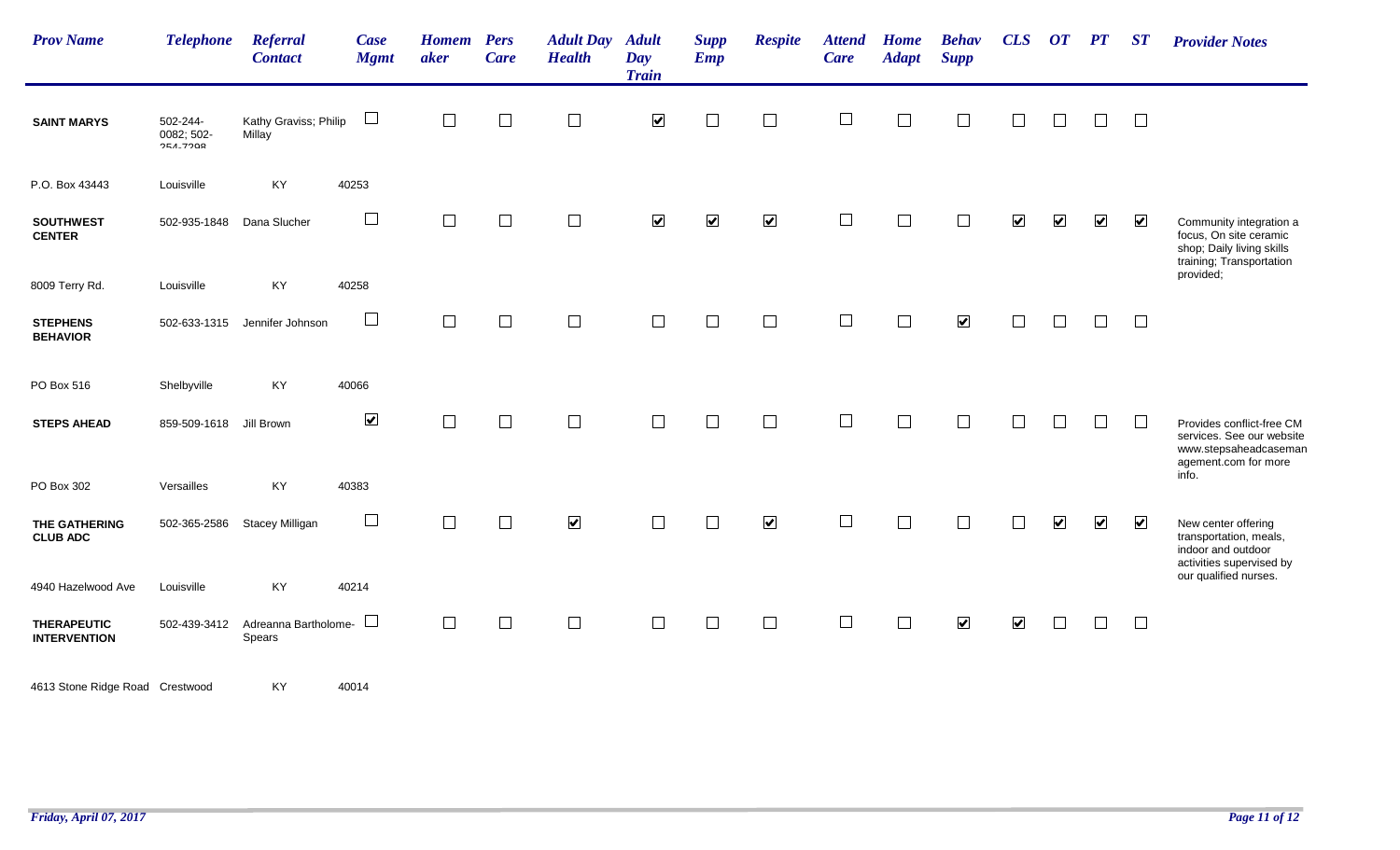| <b>Prov Name</b>                          | <b>Telephone</b>                    | <b>Referral</b><br><b>Contact</b> | Case<br><b>Mgmt</b>  | <b>Homem</b><br>aker | <b>Pers</b><br><b>Care</b> | <b>Adult Day Adult</b><br><b>Health</b> | Day<br><b>Train</b>  | <b>Supp</b><br><b>Emp</b> | <b>Respite</b>          | <b>Attend</b><br>Care | <b>Home</b><br><b>Adapt</b> | <b>Behav</b><br><b>Supp</b> | CLS                     | $\boldsymbol{O}\boldsymbol{T}$ | PT                   | ST                      | <b>Provider Notes</b>                                                                                      |
|-------------------------------------------|-------------------------------------|-----------------------------------|----------------------|----------------------|----------------------------|-----------------------------------------|----------------------|---------------------------|-------------------------|-----------------------|-----------------------------|-----------------------------|-------------------------|--------------------------------|----------------------|-------------------------|------------------------------------------------------------------------------------------------------------|
| <b>SAINT MARYS</b>                        | 502-244-<br>0082; 502-<br>OF A 7000 | Kathy Graviss; Philip<br>Millay   | $\sqcup$             | $\Box$               | $\Box$                     | $\Box$                                  | $\blacktriangledown$ | $\Box$                    | $\Box$                  | $\Box$                | $\Box$                      | $\Box$                      | $\Box$                  | $\Box$                         | $\Box$               | $\Box$                  |                                                                                                            |
| P.O. Box 43443                            | Louisville                          | KY                                | 40253                |                      |                            |                                         |                      |                           |                         |                       |                             |                             |                         |                                |                      |                         |                                                                                                            |
| <b>SOUTHWEST</b><br><b>CENTER</b>         | 502-935-1848                        | Dana Slucher                      | $\Box$               | П                    | $\Box$                     | $\Box$                                  | $\blacktriangledown$ | $\blacktriangledown$      | $\blacktriangledown$    | $\Box$                |                             |                             | $\blacktriangledown$    | $\blacktriangledown$           | $\blacktriangledown$ | $\blacktriangledown$    | Community integration a<br>focus, On site ceramic<br>shop; Daily living skills<br>training; Transportation |
| 8009 Terry Rd.                            | Louisville                          | KY                                | 40258                |                      |                            |                                         |                      |                           |                         |                       |                             |                             |                         |                                |                      |                         | provided;                                                                                                  |
| <b>STEPHENS</b><br><b>BEHAVIOR</b>        | 502-633-1315                        | Jennifer Johnson                  | $\Box$               | $\Box$               | $\Box$                     | $\Box$                                  | $\Box$               | $\Box$                    | $\Box$                  | $\Box$                | $\Box$                      | $\blacktriangledown$        |                         | $\Box$                         | $\Box$               | $\Box$                  |                                                                                                            |
| PO Box 516                                | Shelbyville                         | KY                                | 40066                |                      |                            |                                         |                      |                           |                         |                       |                             |                             |                         |                                |                      |                         |                                                                                                            |
| <b>STEPS AHEAD</b>                        | 859-509-1618                        | Jill Brown                        | $\blacktriangledown$ | $\Box$               | $\Box$                     | $\Box$                                  | $\Box$               | $\Box$                    | $\Box$                  | $\Box$                | $\Box$                      | $\Box$                      |                         | $\Box$                         | $\Box$               | $\Box$                  | Provides conflict-free CM<br>services. See our website<br>www.stepsaheadcaseman<br>agement.com for more    |
| PO Box 302                                | Versailles                          | KY                                | 40383                |                      |                            |                                         |                      |                           |                         |                       |                             |                             |                         |                                |                      |                         | info.                                                                                                      |
| THE GATHERING<br><b>CLUB ADC</b>          | 502-365-2586                        | <b>Stacey Milligan</b>            | $\Box$               | $\Box$               | $\Box$                     | $\blacktriangledown$                    |                      | $\Box$                    | $\overline{\mathbf{v}}$ | $\Box$                |                             | Г                           |                         | $\blacktriangledown$           | $\blacktriangledown$ | $\overline{\mathbf{v}}$ | New center offering<br>transportation, meals,<br>indoor and outdoor<br>activities supervised by            |
| 4940 Hazelwood Ave                        | Louisville                          | KY                                | 40214                |                      |                            |                                         |                      |                           |                         |                       |                             |                             |                         |                                |                      |                         | our qualified nurses.                                                                                      |
| <b>THERAPEUTIC</b><br><b>INTERVENTION</b> | 502-439-3412                        | Adreanna Bartholome-<br>Spears    | $\sqcup$             | $\Box$               | $\Box$                     | $\Box$                                  | $\Box$               | $\Box$                    | $\Box$                  | $\Box$                | $\Box$                      | $\overline{\mathbf{v}}$     | $\overline{\mathbf{v}}$ | $\Box$                         | $\Box$               | $\Box$                  |                                                                                                            |
| 4613 Stone Ridge Road Crestwood           |                                     | KY                                | 40014                |                      |                            |                                         |                      |                           |                         |                       |                             |                             |                         |                                |                      |                         |                                                                                                            |